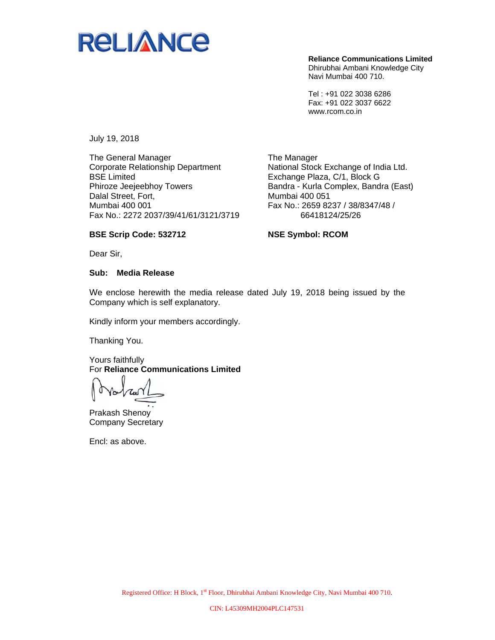

**Reliance Communications Limited**  Dhirubhai Ambani Knowledge City Navi Mumbai 400 710.

Tel : +91 022 3038 6286 Fax: +91 022 3037 6622 www.rcom.co.in

July 19, 2018

The General Manager Corporate Relationship Department BSE Limited Phiroze Jeejeebhoy Towers Dalal Street, Fort, Mumbai 400 001 Fax No.: 2272 2037/39/41/61/3121/3719

The Manager National Stock Exchange of India Ltd. Exchange Plaza, C/1, Block G Bandra - Kurla Complex, Bandra (East) Mumbai 400 051 Fax No.: 2659 8237 / 38/8347/48 / 66418124/25/26

## **BSE Scrip Code: 532712**

**NSE Symbol: RCOM** 

Dear Sir,

## **Sub: Media Release**

We enclose herewith the media release dated July 19, 2018 being issued by the Company which is self explanatory.

Kindly inform your members accordingly.

Thanking You.

Yours faithfully For **Reliance Communications Limited** 

Prakash Shenoy Company Secretary

Encl: as above.